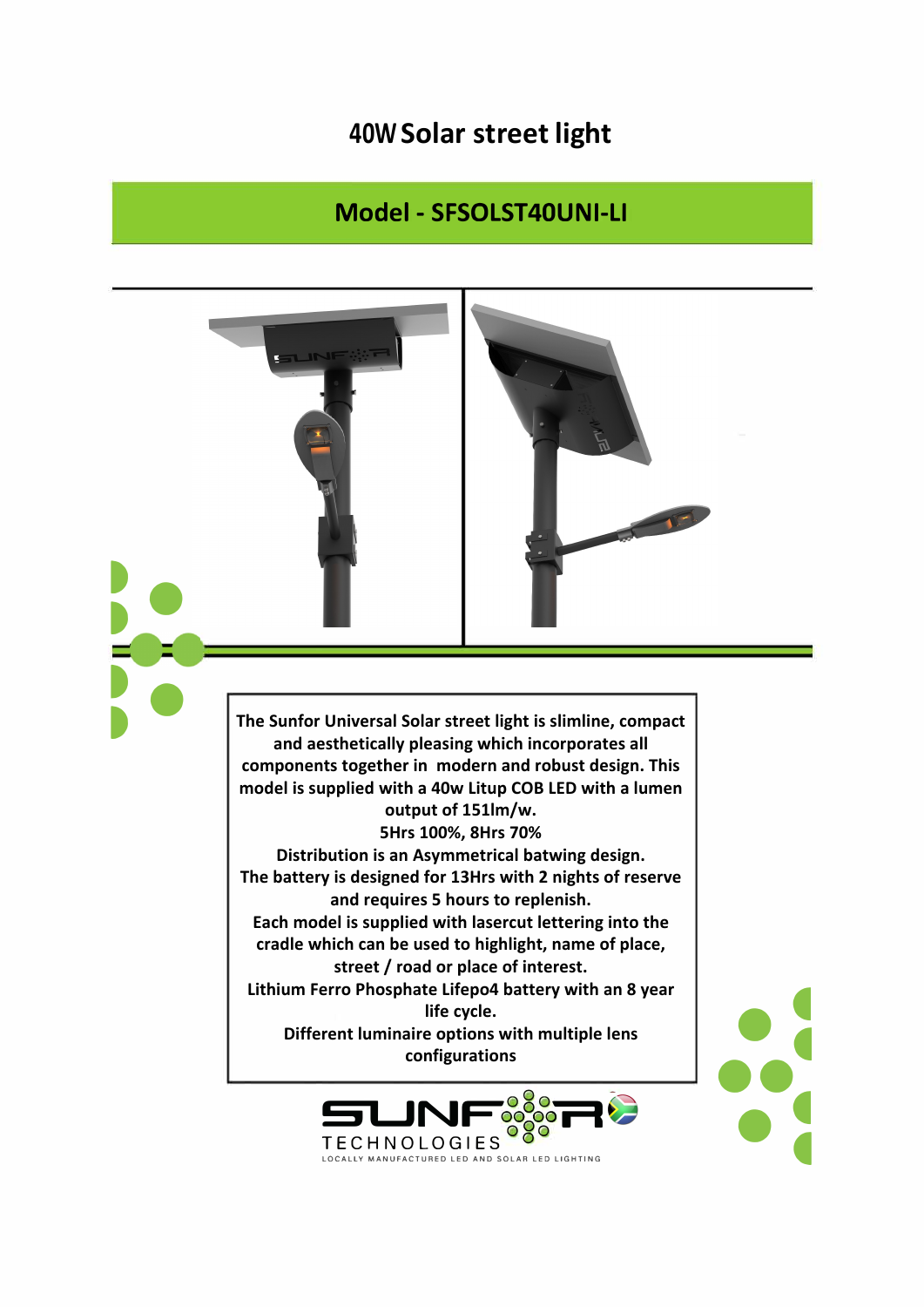## 40W Solar street light

## Model - SFSOLST40UNI-LI